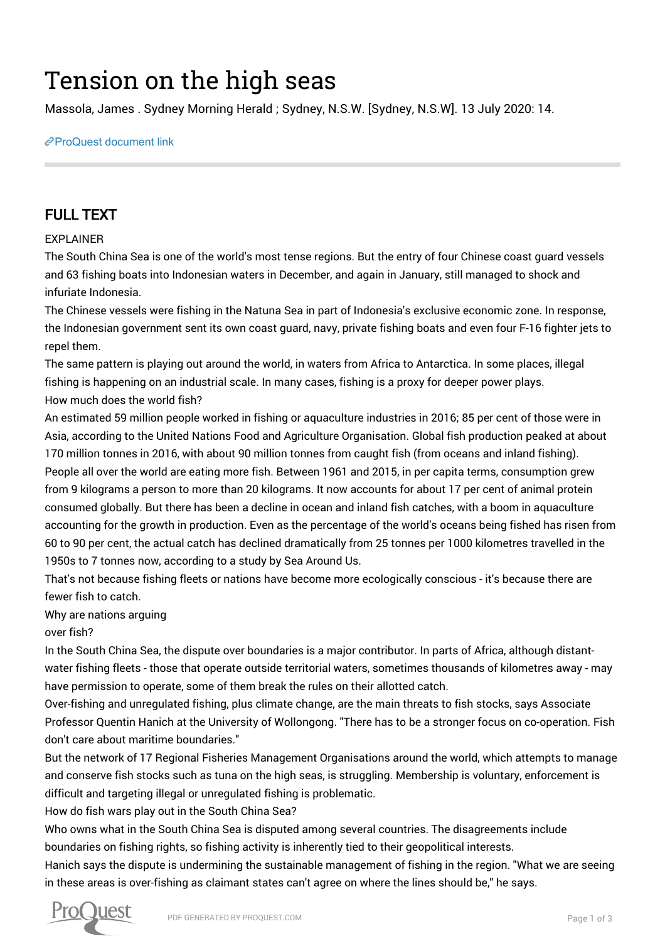# Tension on the high seas

Massola, James . Sydney Morning Herald ; Sydney, N.S.W. [Sydney, N.S.W]. 13 July 2020: 14.

[ProQuest document link](http://132.174.250.227/newspapers/tension-on-high-seas/docview/2422717426/se-2?accountid=8394)

## FULL TEXT

#### EXPLAINER

The South China Sea is one of the world's most tense regions. But the entry of four Chinese coast guard vessels and 63 fishing boats into Indonesian waters in December, and again in January, still managed to shock and infuriate Indonesia.

The Chinese vessels were fishing in the Natuna Sea in part of Indonesia's exclusive economic zone. In response, the Indonesian government sent its own coast guard, navy, private fishing boats and even four F-16 fighter jets to repel them.

The same pattern is playing out around the world, in waters from Africa to Antarctica. In some places, illegal fishing is happening on an industrial scale. In many cases, fishing is a proxy for deeper power plays. How much does the world fish?

An estimated 59 million people worked in fishing or aquaculture industries in 2016; 85 per cent of those were in Asia, according to the United Nations Food and Agriculture Organisation. Global fish production peaked at about 170 million tonnes in 2016, with about 90 million tonnes from caught fish (from oceans and inland fishing). People all over the world are eating more fish. Between 1961 and 2015, in per capita terms, consumption grew from 9 kilograms a person to more than 20 kilograms. It now accounts for about 17 per cent of animal protein consumed globally. But there has been a decline in ocean and inland fish catches, with a boom in aquaculture accounting for the growth in production. Even as the percentage of the world's oceans being fished has risen from 60 to 90 per cent, the actual catch has declined dramatically from 25 tonnes per 1000 kilometres travelled in the 1950s to 7 tonnes now, according to a study by Sea Around Us.

That's not because fishing fleets or nations have become more ecologically conscious - it's because there are fewer fish to catch.

Why are nations arguing

over fish?

In the South China Sea, the dispute over boundaries is a major contributor. In parts of Africa, although distantwater fishing fleets - those that operate outside territorial waters, sometimes thousands of kilometres away - may have permission to operate, some of them break the rules on their allotted catch.

Over-fishing and unregulated fishing, plus climate change, are the main threats to fish stocks, says Associate Professor Quentin Hanich at the University of Wollongong. "There has to be a stronger focus on co-operation. Fish don't care about maritime boundaries."

But the network of 17 Regional Fisheries Management Organisations around the world, which attempts to manage and conserve fish stocks such as tuna on the high seas, is struggling. Membership is voluntary, enforcement is difficult and targeting illegal or unregulated fishing is problematic.

How do fish wars play out in the South China Sea?

Who owns what in the South China Sea is disputed among several countries. The disagreements include boundaries on fishing rights, so fishing activity is inherently tied to their geopolitical interests.

Hanich says the dispute is undermining the sustainable management of fishing in the region. "What we are seeing in these areas is over-fishing as claimant states can't agree on where the lines should be," he says.

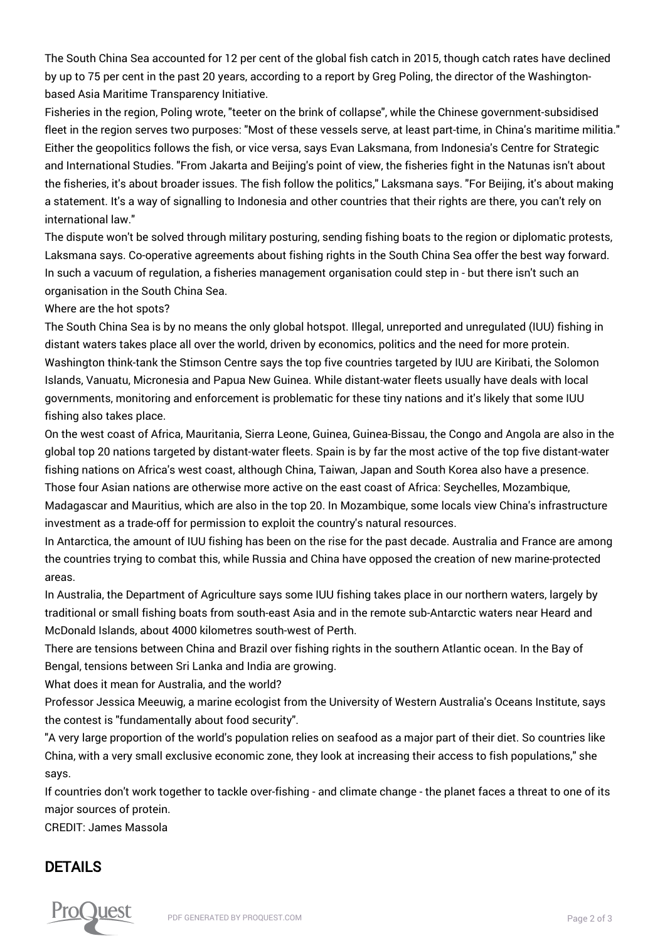The South China Sea accounted for 12 per cent of the global fish catch in 2015, though catch rates have declined by up to 75 per cent in the past 20 years, according to a report by Greg Poling, the director of the Washingtonbased Asia Maritime Transparency Initiative.

Fisheries in the region, Poling wrote, "teeter on the brink of collapse", while the Chinese government-subsidised fleet in the region serves two purposes: "Most of these vessels serve, at least part-time, in China's maritime militia." Either the geopolitics follows the fish, or vice versa, says Evan Laksmana, from Indonesia's Centre for Strategic and International Studies. "From Jakarta and Beijing's point of view, the fisheries fight in the Natunas isn't about the fisheries, it's about broader issues. The fish follow the politics," Laksmana says. "For Beijing, it's about making a statement. It's a way of signalling to Indonesia and other countries that their rights are there, you can't rely on international law."

The dispute won't be solved through military posturing, sending fishing boats to the region or diplomatic protests, Laksmana says. Co-operative agreements about fishing rights in the South China Sea offer the best way forward. In such a vacuum of regulation, a fisheries management organisation could step in - but there isn't such an organisation in the South China Sea.

#### Where are the hot spots?

The South China Sea is by no means the only global hotspot. Illegal, unreported and unregulated (IUU) fishing in distant waters takes place all over the world, driven by economics, politics and the need for more protein. Washington think-tank the Stimson Centre says the top five countries targeted by IUU are Kiribati, the Solomon Islands, Vanuatu, Micronesia and Papua New Guinea. While distant-water fleets usually have deals with local governments, monitoring and enforcement is problematic for these tiny nations and it's likely that some IUU fishing also takes place.

On the west coast of Africa, Mauritania, Sierra Leone, Guinea, Guinea-Bissau, the Congo and Angola are also in the global top 20 nations targeted by distant-water fleets. Spain is by far the most active of the top five distant-water fishing nations on Africa's west coast, although China, Taiwan, Japan and South Korea also have a presence. Those four Asian nations are otherwise more active on the east coast of Africa: Seychelles, Mozambique, Madagascar and Mauritius, which are also in the top 20. In Mozambique, some locals view China's infrastructure investment as a trade-off for permission to exploit the country's natural resources.

In Antarctica, the amount of IUU fishing has been on the rise for the past decade. Australia and France are among the countries trying to combat this, while Russia and China have opposed the creation of new marine-protected areas.

In Australia, the Department of Agriculture says some IUU fishing takes place in our northern waters, largely by traditional or small fishing boats from south-east Asia and in the remote sub-Antarctic waters near Heard and McDonald Islands, about 4000 kilometres south-west of Perth.

There are tensions between China and Brazil over fishing rights in the southern Atlantic ocean. In the Bay of Bengal, tensions between Sri Lanka and India are growing.

What does it mean for Australia, and the world?

Professor Jessica Meeuwig, a marine ecologist from the University of Western Australia's Oceans Institute, says the contest is "fundamentally about food security".

"A very large proportion of the world's population relies on seafood as a major part of their diet. So countries like China, with a very small exclusive economic zone, they look at increasing their access to fish populations," she says.

If countries don't work together to tackle over-fishing - and climate change - the planet faces a threat to one of its major sources of protein.

CREDIT: James Massola

### DETAILS